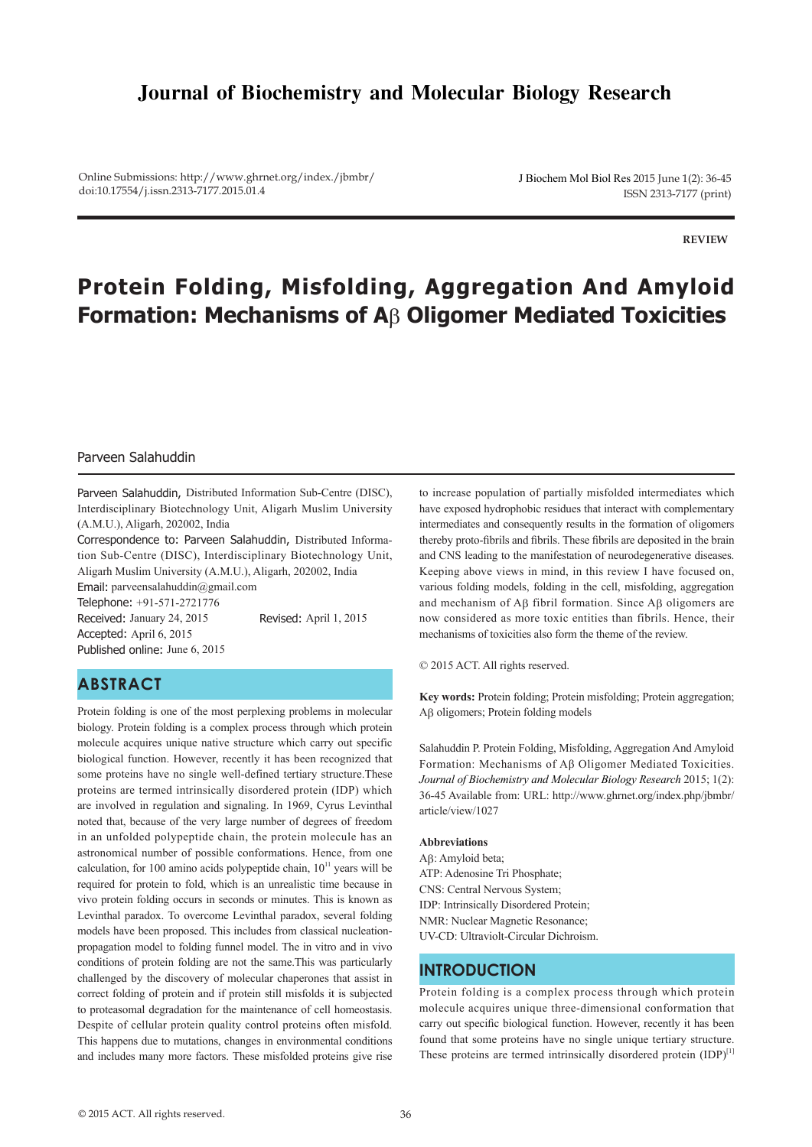# **Journal of Biochemistry and Molecular Biology Research**

Online Submissions: http://www.ghrnet.org/index./jbmbr/ doi:10.17554/j.issn.2313-7177.2015.01.4

J Biochem Mol Biol Res 2015 June 1(2): 36-45 ISSN 2313-7177 (print)

**REVIEW**

# **Protein Folding, Misfolding, Aggregation And Amyloid Formation: Mechanisms of A**β **Oligomer Mediated Toxicities**

### Parveen Salahuddin

Parveen Salahuddin, Distributed Information Sub-Centre (DISC), Interdisciplinary Biotechnology Unit, Aligarh Muslim University (A.M.U.), Aligarh, 202002, India

Correspondence to: Parveen Salahuddin, Distributed Information Sub-Centre (DISC), Interdisciplinary Biotechnology Unit, Aligarh Muslim University (A.M.U.), Aligarh, 202002, India

Email: parveensalahuddin@gmail.com

Telephone: +91-571-2721776 Received: January 24, 2015 Revised: April 1, 2015 Accepted: April 6, 2015 Published online: June 6, 2015

### **ABSTRACT**

Protein folding is one of the most perplexing problems in molecular biology. Protein folding is a complex process through which protein molecule acquires unique native structure which carry out specific biological function. However, recently it has been recognized that some proteins have no single well-defined tertiary structure.These proteins are termed intrinsically disordered protein (IDP) which are involved in regulation and signaling. In 1969, Cyrus Levinthal noted that, because of the very large number of degrees of freedom in an unfolded polypeptide chain, the protein molecule has an astronomical number of possible conformations. Hence, from one calculation, for 100 amino acids polypeptide chain,  $10<sup>11</sup>$  years will be required for protein to fold, which is an unrealistic time because in vivo protein folding occurs in seconds or minutes. This is known as Levinthal paradox. To overcome Levinthal paradox, several folding models have been proposed. This includes from classical nucleationpropagation model to folding funnel model. The in vitro and in vivo conditions of protein folding are not the same.This was particularly challenged by the discovery of molecular chaperones that assist in correct folding of protein and if protein still misfolds it is subjected to proteasomal degradation for the maintenance of cell homeostasis. Despite of cellular protein quality control proteins often misfold. This happens due to mutations, changes in environmental conditions and includes many more factors. These misfolded proteins give rise

to increase population of partially misfolded intermediates which have exposed hydrophobic residues that interact with complementary intermediates and consequently results in the formation of oligomers thereby proto-fibrils and fibrils. These fibrils are deposited in the brain and CNS leading to the manifestation of neurodegenerative diseases. Keeping above views in mind, in this review I have focused on, various folding models, folding in the cell, misfolding, aggregation and mechanism of Aβ fibril formation. Since Aβ oligomers are now considered as more toxic entities than fibrils. Hence, their mechanisms of toxicities also form the theme of the review.

© 2015 ACT. All rights reserved.

**Key words:** Protein folding; Protein misfolding; Protein aggregation; Aβ oligomers; Protein folding models

Salahuddin P. Protein Folding, Misfolding, Aggregation And Amyloid Formation: Mechanisms of Aβ Oligomer Mediated Toxicities. *Journal of Biochemistry and Molecular Biology Research* 2015; 1(2): 36-45 Available from: URL: http://www.ghrnet.org/index.php/jbmbr/ article/view/1027

#### **Abbreviations**

Aβ: Amyloid beta; ATP: Adenosine Tri Phosphate; CNS: Central Nervous System; IDP: Intrinsically Disordered Protein; NMR: Nuclear Magnetic Resonance; UV-CD: Ultraviolt-Circular Dichroism.

### **INTRODUCTION**

Protein folding is a complex process through which protein molecule acquires unique three-dimensional conformation that carry out specific biological function. However, recently it has been found that some proteins have no single unique tertiary structure. These proteins are termed intrinsically disordered protein  $(IDP)^{[1]}$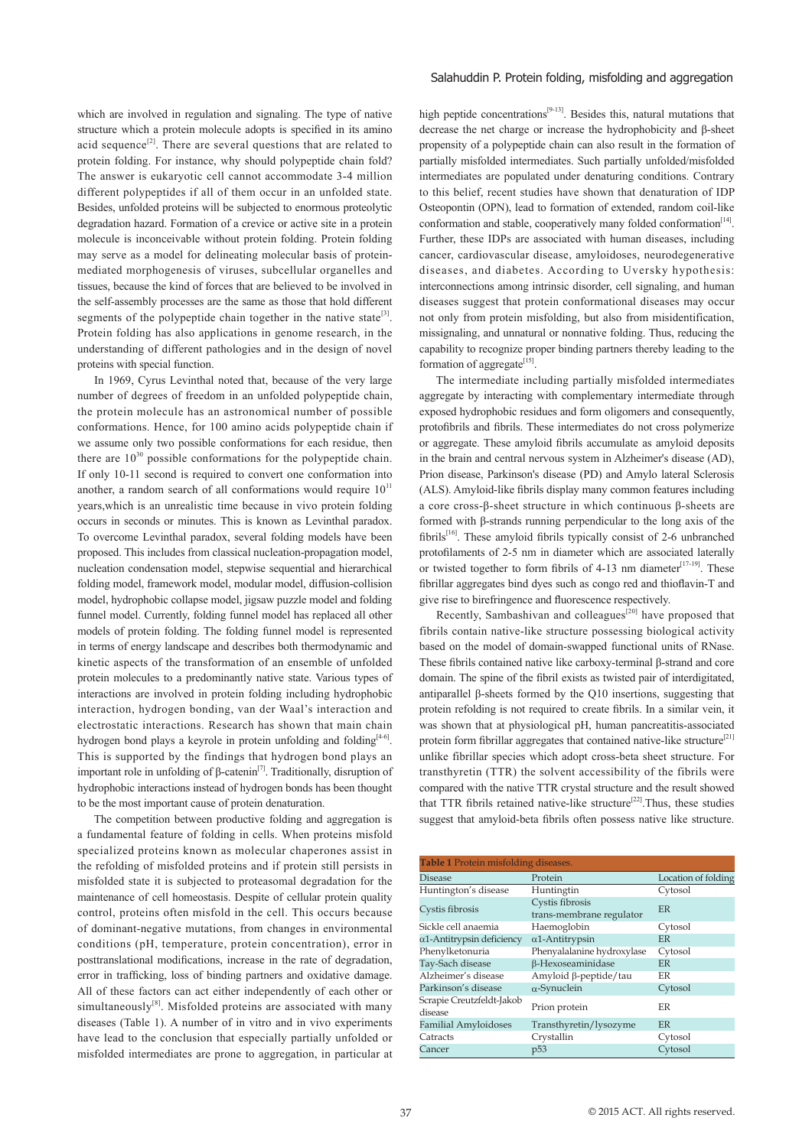which are involved in regulation and signaling. The type of native structure which a protein molecule adopts is specified in its amino acid sequence<sup>[2]</sup>. There are several questions that are related to protein folding. For instance, why should polypeptide chain fold? The answer is eukaryotic cell cannot accommodate 3-4 million different polypeptides if all of them occur in an unfolded state. Besides, unfolded proteins will be subjected to enormous proteolytic degradation hazard. Formation of a crevice or active site in a protein molecule is inconceivable without protein folding. Protein folding may serve as a model for delineating molecular basis of proteinmediated morphogenesis of viruses, subcellular organelles and tissues, because the kind of forces that are believed to be involved in the self-assembly processes are the same as those that hold different segments of the polypeptide chain together in the native state<sup>[3]</sup>. Protein folding has also applications in genome research, in the understanding of different pathologies and in the design of novel proteins with special function.

 In 1969, Cyrus Levinthal noted that, because of the very large number of degrees of freedom in an unfolded polypeptide chain, the protein molecule has an astronomical number of possible conformations. Hence, for 100 amino acids polypeptide chain if we assume only two possible conformations for each residue, then there are  $10^{30}$  possible conformations for the polypeptide chain. If only 10-11 second is required to convert one conformation into another, a random search of all conformations would require  $10<sup>11</sup>$ years,which is an unrealistic time because in vivo protein folding occurs in seconds or minutes. This is known as Levinthal paradox. To overcome Levinthal paradox, several folding models have been proposed. This includes from classical nucleation-propagation model, nucleation condensation model, stepwise sequential and hierarchical folding model, framework model, modular model, diffusion-collision model, hydrophobic collapse model, jigsaw puzzle model and folding funnel model. Currently, folding funnel model has replaced all other models of protein folding. The folding funnel model is represented in terms of energy landscape and describes both thermodynamic and kinetic aspects of the transformation of an ensemble of unfolded protein molecules to a predominantly native state. Various types of interactions are involved in protein folding including hydrophobic interaction, hydrogen bonding, van der Waal's interaction and electrostatic interactions. Research has shown that main chain hydrogen bond plays a keyrole in protein unfolding and folding<sup>[4-6]</sup>. This is supported by the findings that hydrogen bond plays an important role in unfolding of β-catenin<sup>[7]</sup>. Traditionally, disruption of hydrophobic interactions instead of hydrogen bonds has been thought to be the most important cause of protein denaturation.

 The competition between productive folding and aggregation is a fundamental feature of folding in cells. When proteins misfold specialized proteins known as molecular chaperones assist in the refolding of misfolded proteins and if protein still persists in misfolded state it is subjected to proteasomal degradation for the maintenance of cell homeostasis. Despite of cellular protein quality control, proteins often misfold in the cell. This occurs because of dominant-negative mutations, from changes in environmental conditions (pH, temperature, protein concentration), error in posttranslational modifications, increase in the rate of degradation, error in trafficking, loss of binding partners and oxidative damage. All of these factors can act either independently of each other or simultaneously $[8]$ . Misfolded proteins are associated with many diseases (Table 1). A number of in vitro and in vivo experiments have lead to the conclusion that especially partially unfolded or misfolded intermediates are prone to aggregation, in particular at

#### Salahuddin P. Protein folding, misfolding and aggregation

high peptide concentrations<sup>[9-13]</sup>. Besides this, natural mutations that decrease the net charge or increase the hydrophobicity and β-sheet propensity of a polypeptide chain can also result in the formation of partially misfolded intermediates. Such partially unfolded/misfolded intermediates are populated under denaturing conditions. Contrary to this belief, recent studies have shown that denaturation of IDP Osteopontin (OPN), lead to formation of extended, random coil-like conformation and stable, cooperatively many folded conformation<sup>[14]</sup>. Further, these IDPs are associated with human diseases, including cancer, cardiovascular disease, amyloidoses, neurodegenerative diseases, and diabetes. According to Uversky hypothesis: interconnections among intrinsic disorder, cell signaling, and human diseases suggest that protein conformational diseases may occur not only from protein misfolding, but also from misidentification, missignaling, and unnatural or nonnative folding. Thus, reducing the capability to recognize proper binding partners thereby leading to the formation of aggregate[15].

 The intermediate including partially misfolded intermediates aggregate by interacting with complementary intermediate through exposed hydrophobic residues and form oligomers and consequently, protofibrils and fibrils. These intermediates do not cross polymerize or aggregate. These amyloid fibrils accumulate as amyloid deposits in the brain and central nervous system in Alzheimer's disease (AD), Prion disease, Parkinson's disease (PD) and Amylo lateral Sclerosis (ALS). Amyloid-like fibrils display many common features including a core cross-β-sheet structure in which continuous β-sheets are formed with β-strands running perpendicular to the long axis of the fibrils[16]. These amyloid fibrils typically consist of 2-6 unbranched protofilaments of 2-5 nm in diameter which are associated laterally or twisted together to form fibrils of 4-13 nm diameter<sup>[17-19]</sup>. These fibrillar aggregates bind dyes such as congo red and thioflavin-T and give rise to birefringence and fluorescence respectively.

Recently, Sambashivan and colleagues<sup>[20]</sup> have proposed that fibrils contain native-like structure possessing biological activity based on the model of domain-swapped functional units of RNase. These fibrils contained native like carboxy-terminal β-strand and core domain. The spine of the fibril exists as twisted pair of interdigitated, antiparallel β-sheets formed by the Q10 insertions, suggesting that protein refolding is not required to create fibrils. In a similar vein, it was shown that at physiological pH, human pancreatitis-associated protein form fibrillar aggregates that contained native-like structure<sup>[21]</sup> unlike fibrillar species which adopt cross-beta sheet structure. For transthyretin (TTR) the solvent accessibility of the fibrils were compared with the native TTR crystal structure and the result showed that TTR fibrils retained native-like structure<sup>[22]</sup>. Thus, these studies suggest that amyloid-beta fibrils often possess native like structure.

| Table 1 Protein misfolding diseases. |                                             |                     |
|--------------------------------------|---------------------------------------------|---------------------|
| <b>Disease</b>                       | Protein                                     | Location of folding |
| Huntington's disease                 | Huntingtin                                  | Cytosol             |
| Cystis fibrosis                      | Cystis fibrosis<br>trans-membrane regulator | ER                  |
| Sickle cell anaemia                  | Haemoglobin                                 | Cytosol             |
| $\alpha$ 1-Antitrypsin deficiency    | $\alpha$ 1-Antitrypsin                      | <b>FR</b>           |
| Phenylketonuria                      | Phenyalalanine hydroxylase                  | Cytosol             |
| Tay-Sach disease                     | β-Hexoseaminidase                           | ER                  |
| Alzheimer's disease                  | Amyloid β-peptide/tau                       | <b>FR</b>           |
| Parkinson's disease                  | $\alpha$ -Synuclein                         | Cytosol             |
| Scrapie Creutzfeldt-Jakob<br>disease | Prion protein                               | ER                  |
| <b>Familial Amyloidoses</b>          | Transthyretin/lysozyme                      | <b>FR</b>           |
| Catracts                             | Crystallin                                  | Cytosol             |
| Cancer                               | p <sub>53</sub>                             | Cytosol             |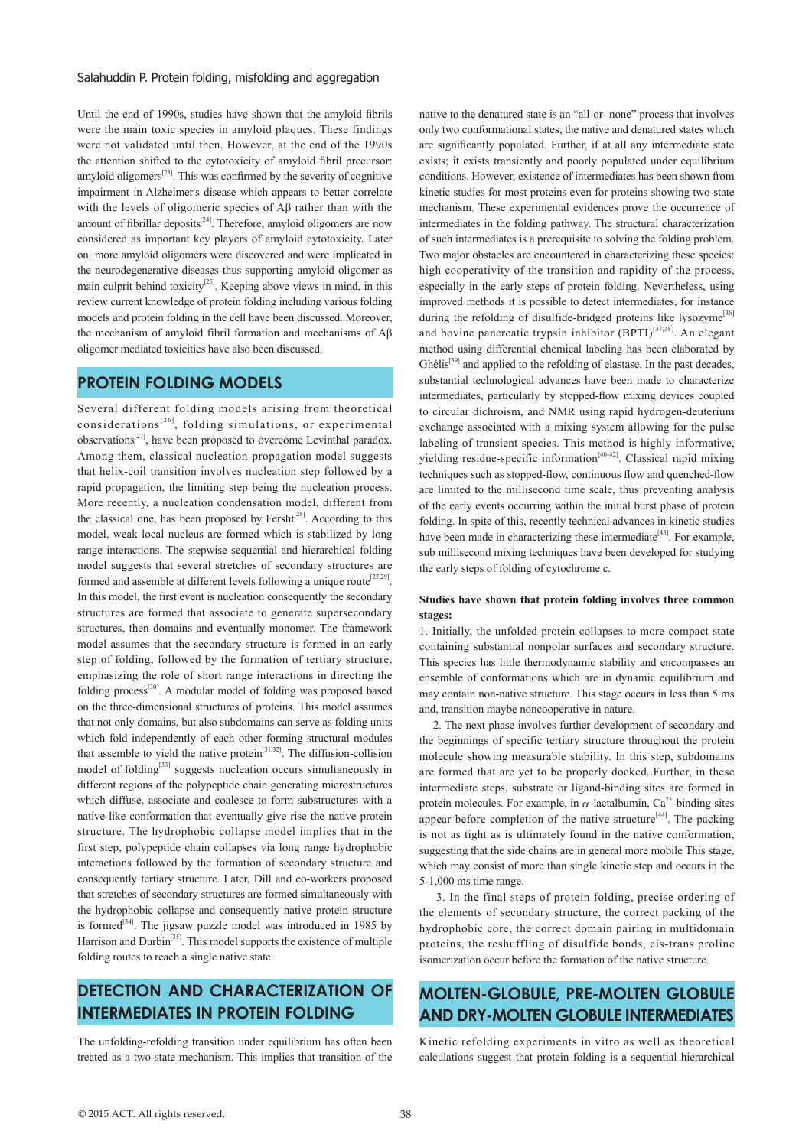Until the end of 1990s, studies have shown that the amyloid fibrils were the main toxic species in amyloid plaques. These findings were not validated until then. However, at the end of the 1990s the attention shifted to the cytotoxicity of amyloid fibril precursor: amyloid oligomers<sup>[23]</sup>. This was confirmed by the severity of cognitive impairment in Alzheimer's disease which appears to better correlate with the levels of oligomeric species of Aβ rather than with the amount of fibrillar deposits<sup>[24]</sup>. Therefore, amyloid oligomers are now considered as important key players of amyloid cytotoxicity. Later on, more amyloid oligomers were discovered and were implicated in the neurodegenerative diseases thus supporting amyloid oligomer as main culprit behind toxicity<sup>[25]</sup>. Keeping above views in mind, in this review current knowledge of protein folding including various folding models and protein folding in the cell have been discussed. Moreover, the mechanism of amyloid fibril formation and mechanisms of Aβ oligomer mediated toxicities have also been discussed.

### **PROTEIN FOLDING MODELS**

Several different folding models arising from theoretical considerations<sup>[26]</sup>, folding simulations, or experimental observations $^{[27]}$ , have been proposed to overcome Levinthal paradox. Among them, classical nucleation-propagation model suggests that helix-coil transition involves nucleation step followed by a rapid propagation, the limiting step being the nucleation process. More recently, a nucleation condensation model, different from the classical one, has been proposed by Fersht<sup> $[28]$ </sup>. According to this model, weak local nucleus are formed which is stabilized by long range interactions. The stepwise sequential and hierarchical folding model suggests that several stretches of secondary structures are formed and assemble at different levels following a unique route<sup>[27,29]</sup>. In this model, the first event is nucleation consequently the secondary structures are formed that associate to generate supersecondary structures, then domains and eventually monomer. The framework model assumes that the secondary structure is formed in an early step of folding, followed by the formation of tertiary structure, emphasizing the role of short range interactions in directing the folding process<sup>[30]</sup>. A modular model of folding was proposed based on the three-dimensional structures of proteins. This model assumes that not only domains, but also subdomains can serve as folding units which fold independently of each other forming structural modules that assemble to yield the native protein<sup>[31,32]</sup>. The diffusion-collision model of folding<sup>[33]</sup> suggests nucleation occurs simultaneously in different regions of the polypeptide chain generating microstructures which diffuse, associate and coalesce to form substructures with a native-like conformation that eventually give rise the native protein structure. The hydrophobic collapse model implies that in the first step, polypeptide chain collapses via long range hydrophobic interactions followed by the formation of secondary structure and consequently tertiary structure. Later, Dill and co-workers proposed that stretches of secondary structures are formed simultaneously with the hydrophobic collapse and consequently native protein structure is formed<sup>[34]</sup>. The jigsaw puzzle model was introduced in 1985 by Harrison and Durbin<sup>[35]</sup>. This model supports the existence of multiple folding routes to reach a single native state.

# **DETECTION AND CHARACTERIZATION OF INTERMEDIATES IN PROTEIN FOLDING**

The unfolding-refolding transition under equilibrium has often been treated as a two-state mechanism. This implies that transition of the native to the denatured state is an "all-or- none" process that involves only two conformational states, the native and denatured states which are significantly populated. Further, if at all any intermediate state exists; it exists transiently and poorly populated under equilibrium conditions. However, existence of intermediates has been shown from kinetic studies for most proteins even for proteins showing two-state mechanism. These experimental evidences prove the occurrence of intermediates in the folding pathway. The structural characterization of such intermediates is a prerequisite to solving the folding problem. Two major obstacles are encountered in characterizing these species: high cooperativity of the transition and rapidity of the process, especially in the early steps of protein folding. Nevertheless, using improved methods it is possible to detect intermediates, for instance during the refolding of disulfide-bridged proteins like lysozyme<sup>[36]</sup> and bovine pancreatic trypsin inhibitor  $(BPTI)^{[37,38]}$ . An elegant method using differential chemical labeling has been elaborated by Ghélis<sup>[39]</sup> and applied to the refolding of elastase. In the past decades, substantial technological advances have been made to characterize intermediates, particularly by stopped-flow mixing devices coupled to circular dichroism, and NMR using rapid hydrogen-deuterium exchange associated with a mixing system allowing for the pulse labeling of transient species. This method is highly informative, yielding residue-specific information<sup>[40-42]</sup>. Classical rapid mixing techniques such as stopped-flow, continuous flow and quenched-flow are limited to the millisecond time scale, thus preventing analysis of the early events occurring within the initial burst phase of protein folding. In spite of this, recently technical advances in kinetic studies have been made in characterizing these intermediate $[43]$ . For example, sub millisecond mixing techniques have been developed for studying the early steps of folding of cytochrome c.

### **Studies have shown that protein folding involves three common stages:**

1. Initially, the unfolded protein collapses to more compact state containing substantial nonpolar surfaces and secondary structure. This species has little thermodynamic stability and encompasses an ensemble of conformations which are in dynamic equilibrium and may contain non-native structure. This stage occurs in less than 5 ms and, transition maybe noncooperative in nature.

 2. The next phase involves further development of secondary and the beginnings of specific tertiary structure throughout the protein molecule showing measurable stability. In this step, subdomains are formed that are yet to be properly docked..Further, in these intermediate steps, substrate or ligand-binding sites are formed in protein molecules. For example, in  $\alpha$ -lactalbumin, Ca<sup>2+</sup>-binding sites appear before completion of the native structure<sup>[44]</sup>. The packing is not as tight as is ultimately found in the native conformation, suggesting that the side chains are in general more mobile This stage, which may consist of more than single kinetic step and occurs in the 5-1,000 ms time range.

 3. In the final steps of protein folding, precise ordering of the elements of secondary structure, the correct packing of the hydrophobic core, the correct domain pairing in multidomain proteins, the reshuffling of disulfide bonds, cis-trans proline isomerization occur before the formation of the native structure.

# **MOLTEN-GLOBULE, PRE-MOLTEN GLOBULE AND DRY-MOLTEN GLOBULE INTERMEDIATES**

Kinetic refolding experiments in vitro as well as theoretical calculations suggest that protein folding is a sequential hierarchical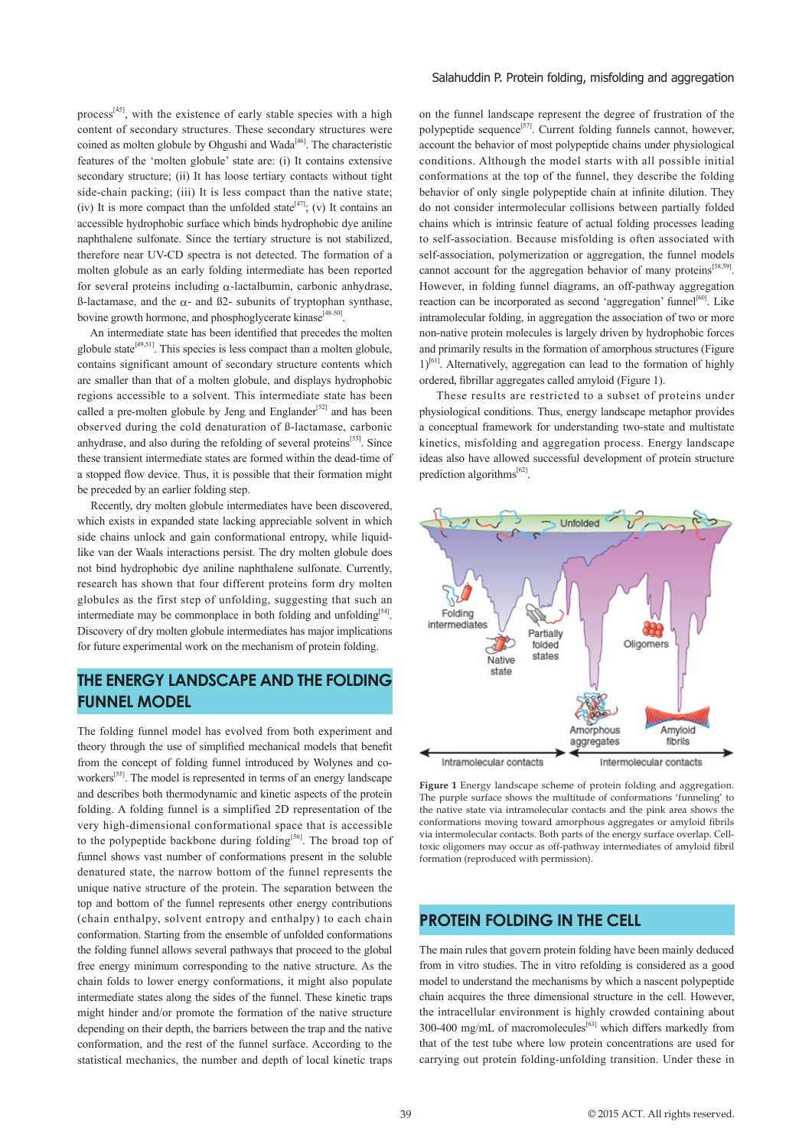process<sup>[45]</sup>, with the existence of early stable species with a high content of secondary structures. These secondary structures were coined as molten globule by Ohgushi and Wada<sup>[46]</sup>. The characteristic features of the 'molten globule' state are: (i) It contains extensive secondary structure; (ii) It has loose tertiary contacts without tight side-chain packing; (iii) It is less compact than the native state; (iv) It is more compact than the unfolded state<sup>[47]</sup>; (v) It contains an accessible hydrophobic surface which binds hydrophobic dye aniline naphthalene sulfonate. Since the tertiary structure is not stabilized, therefore near UV-CD spectra is not detected. The formation of a molten globule as an early folding intermediate has been reported for several proteins including  $\alpha$ -lactalbumin, carbonic anhydrase, ß-lactamase, and the α- and ß2- subunits of tryptophan synthase, bovine growth hormone, and phosphoglycerate kinase<sup>[48-50]</sup>

 An intermediate state has been identified that precedes the molten globule state[49,51]. This species is less compact than a molten globule, contains significant amount of secondary structure contents which are smaller than that of a molten globule, and displays hydrophobic regions accessible to a solvent. This intermediate state has been called a pre-molten globule by Jeng and Englander<sup>[52]</sup> and has been observed during the cold denaturation of ß-lactamase, carbonic anhydrase, and also during the refolding of several proteins<sup>[53]</sup>. Since these transient intermediate states are formed within the dead-time of a stopped flow device. Thus, it is possible that their formation might be preceded by an earlier folding step.

 Recently, dry molten globule intermediates have been discovered, which exists in expanded state lacking appreciable solvent in which side chains unlock and gain conformational entropy, while liquidlike van der Waals interactions persist. The dry molten globule does not bind hydrophobic dye aniline naphthalene sulfonate. Currently, research has shown that four different proteins form dry molten globules as the first step of unfolding, suggesting that such an intermediate may be commonplace in both folding and unfolding<sup>[54]</sup>. Discovery of dry molten globule intermediates has major implications for future experimental work on the mechanism of protein folding.

# **THE ENERGY LANDSCAPE AND THE FOLDING FUNNEL MODEL**

The folding funnel model has evolved from both experiment and theory through the use of simplified mechanical models that benefit from the concept of folding funnel introduced by Wolynes and coworkers<sup>[55]</sup>. The model is represented in terms of an energy landscape and describes both thermodynamic and kinetic aspects of the protein folding. A folding funnel is a simplified 2D representation of the very high-dimensional conformational space that is accessible to the polypeptide backbone during folding<sup>[56]</sup>. The broad top of funnel shows vast number of conformations present in the soluble denatured state, the narrow bottom of the funnel represents the unique native structure of the protein. The separation between the top and bottom of the funnel represents other energy contributions (chain enthalpy, solvent entropy and enthalpy) to each chain conformation. Starting from the ensemble of unfolded conformations the folding funnel allows several pathways that proceed to the global free energy minimum corresponding to the native structure. As the chain folds to lower energy conformations, it might also populate intermediate states along the sides of the funnel. These kinetic traps might hinder and/or promote the formation of the native structure depending on their depth, the barriers between the trap and the native conformation, and the rest of the funnel surface. According to the statistical mechanics, the number and depth of local kinetic traps

on the funnel landscape represent the degree of frustration of the polypeptide sequence<sup>[57]</sup>. Current folding funnels cannot, however, account the behavior of most polypeptide chains under physiological conditions. Although the model starts with all possible initial conformations at the top of the funnel, they describe the folding behavior of only single polypeptide chain at infinite dilution. They do not consider intermolecular collisions between partially folded chains which is intrinsic feature of actual folding processes leading to self-association. Because misfolding is often associated with self-association, polymerization or aggregation, the funnel models cannot account for the aggregation behavior of many proteins<sup>[58,59]</sup>. However, in folding funnel diagrams, an off-pathway aggregation reaction can be incorporated as second 'aggregation' funnel<sup>[60]</sup>. Like intramolecular folding, in aggregation the association of two or more non-native protein molecules is largely driven by hydrophobic forces and primarily results in the formation of amorphous structures (Figure 1)<sup>[61]</sup>. Alternatively, aggregation can lead to the formation of highly ordered, fibrillar aggregates called amyloid (Figure 1).

 These results are restricted to a subset of proteins under physiological conditions. Thus, energy landscape metaphor provides a conceptual framework for understanding two-state and multistate kinetics, misfolding and aggregation process. Energy landscape ideas also have allowed successful development of protein structure prediction algorithms $^{[62]}$ .



**Figure 1** Energy landscape scheme of protein folding and aggregation. The purple surface shows the multitude of conformations 'funneling' to the native state via intramolecular contacts and the pink area shows the conformations moving toward amorphous aggregates or amyloid fibrils via intermolecular contacts. Both parts of the energy surface overlap. Celltoxic oligomers may occur as off-pathway intermediates of amyloid fibril formation (reproduced with permission).

### **PROTEIN FOLDING IN THE CELL**

The main rules that govern protein folding have been mainly deduced from in vitro studies. The in vitro refolding is considered as a good model to understand the mechanisms by which a nascent polypeptide chain acquires the three dimensional structure in the cell. However, the intracellular environment is highly crowded containing about 300-400 mg/mL of macromolecules<sup>[63]</sup> which differs markedly from that of the test tube where low protein concentrations are used for carrying out protein folding-unfolding transition. Under these in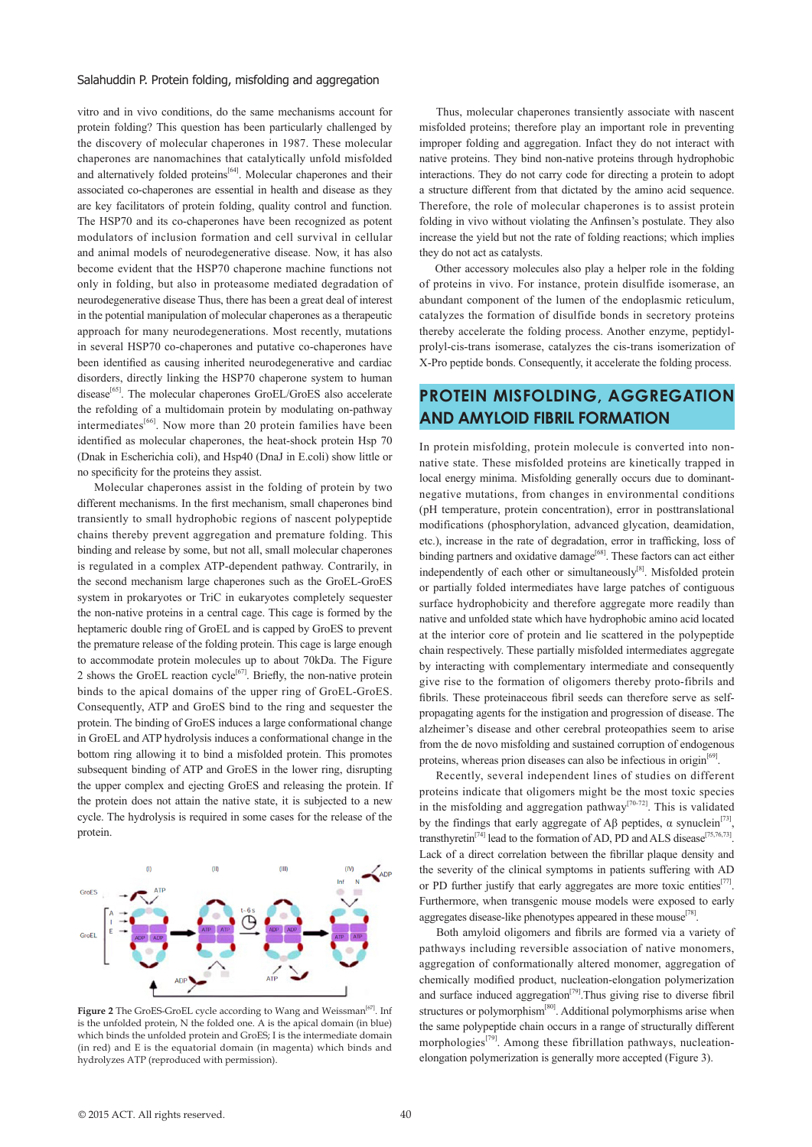vitro and in vivo conditions, do the same mechanisms account for protein folding? This question has been particularly challenged by the discovery of molecular chaperones in 1987. These molecular chaperones are nanomachines that catalytically unfold misfolded and alternatively folded proteins<sup>[64]</sup>. Molecular chaperones and their associated co-chaperones are essential in health and disease as they are key facilitators of protein folding, quality control and function. The HSP70 and its co-chaperones have been recognized as potent modulators of inclusion formation and cell survival in cellular and animal models of neurodegenerative disease. Now, it has also become evident that the HSP70 chaperone machine functions not only in folding, but also in proteasome mediated degradation of neurodegenerative disease Thus, there has been a great deal of interest in the potential manipulation of molecular chaperones as a therapeutic approach for many neurodegenerations. Most recently, mutations in several HSP70 co-chaperones and putative co-chaperones have been identified as causing inherited neurodegenerative and cardiac disorders, directly linking the HSP70 chaperone system to human disease<sup>[65]</sup>. The molecular chaperones GroEL/GroES also accelerate the refolding of a multidomain protein by modulating on-pathway intermediates<sup>[66]</sup>. Now more than 20 protein families have been identified as molecular chaperones, the heat-shock protein Hsp 70 (Dnak in Escherichia coli), and Hsp40 (DnaJ in E.coli) show little or no specificity for the proteins they assist.

 Molecular chaperones assist in the folding of protein by two different mechanisms. In the first mechanism, small chaperones bind transiently to small hydrophobic regions of nascent polypeptide chains thereby prevent aggregation and premature folding. This binding and release by some, but not all, small molecular chaperones is regulated in a complex ATP-dependent pathway. Contrarily, in the second mechanism large chaperones such as the GroEL-GroES system in prokaryotes or TriC in eukaryotes completely sequester the non-native proteins in a central cage. This cage is formed by the heptameric double ring of GroEL and is capped by GroES to prevent the premature release of the folding protein. This cage is large enough to accommodate protein molecules up to about 70kDa. The Figure 2 shows the GroEL reaction cycle<sup>[67]</sup>. Briefly, the non-native protein binds to the apical domains of the upper ring of GroEL-GroES. Consequently, ATP and GroES bind to the ring and sequester the protein. The binding of GroES induces a large conformational change in GroEL and ATP hydrolysis induces a conformational change in the bottom ring allowing it to bind a misfolded protein. This promotes subsequent binding of ATP and GroES in the lower ring, disrupting the upper complex and ejecting GroES and releasing the protein. If the protein does not attain the native state, it is subjected to a new cycle. The hydrolysis is required in some cases for the release of the protein.



Figure 2 The GroES-GroEL cycle according to Wang and Weissman<sup>[67]</sup>. Inf is the unfolded protein, N the folded one. A is the apical domain (in blue) which binds the unfolded protein and GroES; I is the intermediate domain (in red) and E is the equatorial domain (in magenta) which binds and hydrolyzes ATP (reproduced with permission).

 Thus, molecular chaperones transiently associate with nascent misfolded proteins; therefore play an important role in preventing improper folding and aggregation. Infact they do not interact with native proteins. They bind non-native proteins through hydrophobic interactions. They do not carry code for directing a protein to adopt a structure different from that dictated by the amino acid sequence. Therefore, the role of molecular chaperones is to assist protein folding in vivo without violating the Anfinsen's postulate. They also increase the yield but not the rate of folding reactions; which implies they do not act as catalysts.

 Other accessory molecules also play a helper role in the folding of proteins in vivo. For instance, protein disulfide isomerase, an abundant component of the lumen of the endoplasmic reticulum, catalyzes the formation of disulfide bonds in secretory proteins thereby accelerate the folding process. Another enzyme, peptidylprolyl-cis-trans isomerase, catalyzes the cis-trans isomerization of X-Pro peptide bonds. Consequently, it accelerate the folding process.

# **PROTEIN MISFOLDING, AGGREGATION AND AMYLOID FIBRIL FORMATION**

In protein misfolding, protein molecule is converted into nonnative state. These misfolded proteins are kinetically trapped in local energy minima. Misfolding generally occurs due to dominantnegative mutations, from changes in environmental conditions (pH temperature, protein concentration), error in posttranslational modifications (phosphorylation, advanced glycation, deamidation, etc.), increase in the rate of degradation, error in trafficking, loss of binding partners and oxidative damage<sup>[68]</sup>. These factors can act either independently of each other or simultaneously<sup>[8]</sup>. Misfolded protein or partially folded intermediates have large patches of contiguous surface hydrophobicity and therefore aggregate more readily than native and unfolded state which have hydrophobic amino acid located at the interior core of protein and lie scattered in the polypeptide chain respectively. These partially misfolded intermediates aggregate by interacting with complementary intermediate and consequently give rise to the formation of oligomers thereby proto-fibrils and fibrils. These proteinaceous fibril seeds can therefore serve as selfpropagating agents for the instigation and progression of disease. The alzheimer's disease and other cerebral proteopathies seem to arise from the de novo misfolding and sustained corruption of endogenous proteins, whereas prion diseases can also be infectious in origin<sup>[69]</sup>.

 Recently, several independent lines of studies on different proteins indicate that oligomers might be the most toxic species in the misfolding and aggregation pathway<sup>[70-72]</sup>. This is validated by the findings that early aggregate of Aβ peptides,  $\alpha$  synuclein<sup>[73]</sup>, transthyretin<sup>[74]</sup> lead to the formation of AD, PD and ALS disease<sup>[75,76,73]</sup>. Lack of a direct correlation between the fibrillar plaque density and the severity of the clinical symptoms in patients suffering with AD or PD further justify that early aggregates are more toxic entities<sup>[77]</sup>. Furthermore, when transgenic mouse models were exposed to early aggregates disease-like phenotypes appeared in these mouse<sup>[78]</sup>.

 Both amyloid oligomers and fibrils are formed via a variety of pathways including reversible association of native monomers, aggregation of conformationally altered monomer, aggregation of chemically modified product, nucleation-elongation polymerization and surface induced aggregation $[79]$ . Thus giving rise to diverse fibril structures or polymorphism<sup>[80]</sup>. Additional polymorphisms arise when the same polypeptide chain occurs in a range of structurally different morphologies $^{[79]}$ . Among these fibrillation pathways, nucleationelongation polymerization is generally more accepted (Figure 3).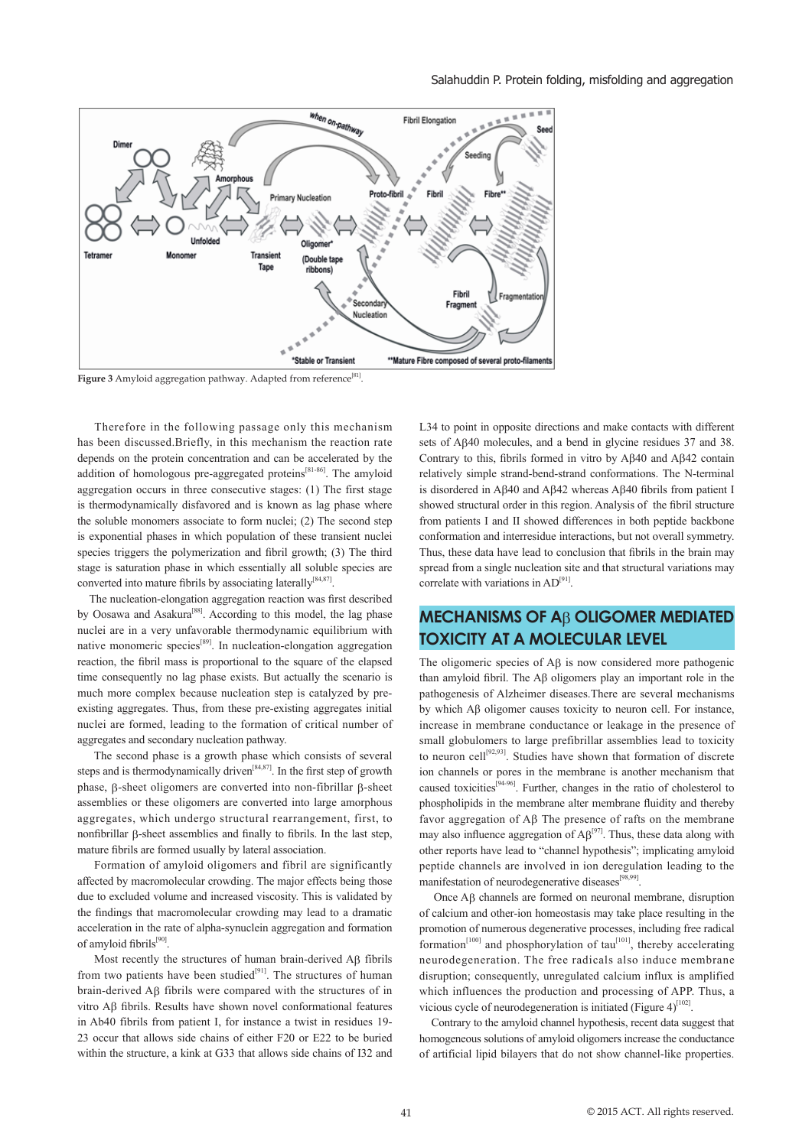

Figure 3 Amyloid aggregation pathway. Adapted from reference<sup>[81]</sup>.

 Therefore in the following passage only this mechanism has been discussed.Briefly, in this mechanism the reaction rate depends on the protein concentration and can be accelerated by the addition of homologous pre-aggregated proteins<sup>[81-86]</sup>. The amyloid aggregation occurs in three consecutive stages: (1) The first stage is thermodynamically disfavored and is known as lag phase where the soluble monomers associate to form nuclei; (2) The second step is exponential phases in which population of these transient nuclei species triggers the polymerization and fibril growth; (3) The third stage is saturation phase in which essentially all soluble species are converted into mature fibrils by associating laterally<sup>[84,87]</sup>.

 The nucleation-elongation aggregation reaction was first described by Oosawa and Asakura<sup>[88]</sup>. According to this model, the lag phase nuclei are in a very unfavorable thermodynamic equilibrium with native monomeric species<sup>[89]</sup>. In nucleation-elongation aggregation reaction, the fibril mass is proportional to the square of the elapsed time consequently no lag phase exists. But actually the scenario is much more complex because nucleation step is catalyzed by preexisting aggregates. Thus, from these pre-existing aggregates initial nuclei are formed, leading to the formation of critical number of aggregates and secondary nucleation pathway.

 The second phase is a growth phase which consists of several steps and is thermodynamically driven[84,87]. In the first step of growth phase, β-sheet oligomers are converted into non-fibrillar β-sheet assemblies or these oligomers are converted into large amorphous aggregates, which undergo structural rearrangement, first, to nonfibrillar β-sheet assemblies and finally to fibrils. In the last step, mature fibrils are formed usually by lateral association.

 Formation of amyloid oligomers and fibril are significantly affected by macromolecular crowding. The major effects being those due to excluded volume and increased viscosity. This is validated by the findings that macromolecular crowding may lead to a dramatic acceleration in the rate of alpha-synuclein aggregation and formation of amyloid fibrils[90].

 Most recently the structures of human brain-derived Aβ fibrils from two patients have been studied<sup>[91]</sup>. The structures of human brain-derived Aβ fibrils were compared with the structures of in vitro Aβ fibrils. Results have shown novel conformational features in Ab40 fibrils from patient I, for instance a twist in residues 19- 23 occur that allows side chains of either F20 or E22 to be buried within the structure, a kink at G33 that allows side chains of I32 and L34 to point in opposite directions and make contacts with different sets of Aβ40 molecules, and a bend in glycine residues 37 and 38. Contrary to this, fibrils formed in vitro by Aβ40 and Aβ42 contain relatively simple strand-bend-strand conformations. The N-terminal is disordered in Aβ40 and Aβ42 whereas Aβ40 fibrils from patient I showed structural order in this region. Analysis of the fibril structure from patients I and II showed differences in both peptide backbone conformation and interresidue interactions, but not overall symmetry. Thus, these data have lead to conclusion that fibrils in the brain may spread from a single nucleation site and that structural variations may correlate with variations in AD<sup>[91]</sup>.

# **MECHANISMS OF A**β **OLIGOMER MEDIATED TOXICITY AT A MOLECULAR LEVEL**

The oligomeric species of Aβ is now considered more pathogenic than amyloid fibril. The Aβ oligomers play an important role in the pathogenesis of Alzheimer diseases.There are several mechanisms by which Aβ oligomer causes toxicity to neuron cell. For instance, increase in membrane conductance or leakage in the presence of small globulomers to large prefibrillar assemblies lead to toxicity to neuron cell<sup>[92,93]</sup>. Studies have shown that formation of discrete ion channels or pores in the membrane is another mechanism that caused toxicities<sup>[94-96]</sup>. Further, changes in the ratio of cholesterol to phospholipids in the membrane alter membrane fluidity and thereby favor aggregation of Aβ The presence of rafts on the membrane may also influence aggregation of  $AB^{[97]}$ . Thus, these data along with other reports have lead to "channel hypothesis"; implicating amyloid peptide channels are involved in ion deregulation leading to the manifestation of neurodegenerative diseases<sup>[98,99]</sup>.

 Once Aβ channels are formed on neuronal membrane, disruption of calcium and other-ion homeostasis may take place resulting in the promotion of numerous degenerative processes, including free radical formation<sup>[100]</sup> and phosphorylation of tau<sup>[101]</sup>, thereby accelerating neurodegeneration. The free radicals also induce membrane disruption; consequently, unregulated calcium influx is amplified which influences the production and processing of APP. Thus, a vicious cycle of neurodegeneration is initiated (Figure  $4$ )<sup>[102]</sup>.

 Contrary to the amyloid channel hypothesis, recent data suggest that homogeneous solutions of amyloid oligomers increase the conductance of artificial lipid bilayers that do not show channel-like properties.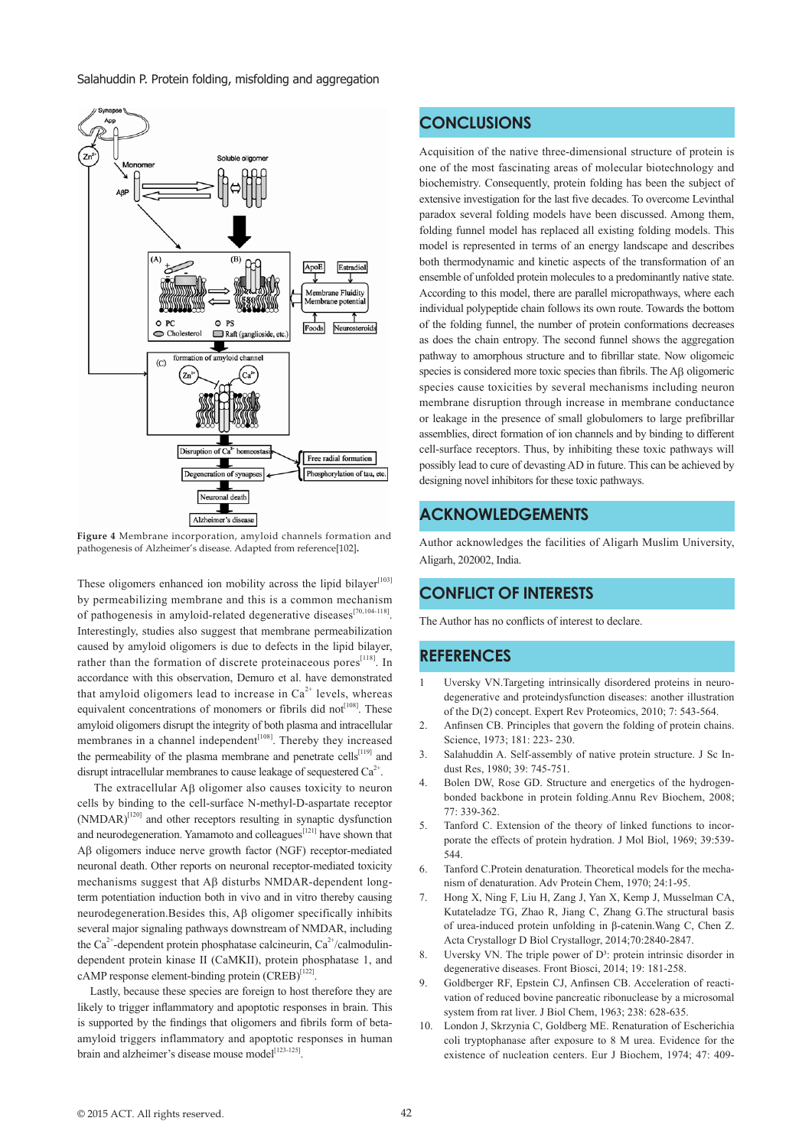

**Figure 4** Membrane incorporation, amyloid channels formation and pathogenesis of Alzheimer's disease. Adapted from reference[102]**.**

These oligomers enhanced ion mobility across the lipid bilayer<sup>[103]</sup> by permeabilizing membrane and this is a common mechanism of pathogenesis in amyloid-related degenerative diseases<sup>[70,104-118]</sup>. Interestingly, studies also suggest that membrane permeabilization caused by amyloid oligomers is due to defects in the lipid bilayer, rather than the formation of discrete proteinaceous pores<sup>[118]</sup>. In accordance with this observation, Demuro et al. have demonstrated that amyloid oligomers lead to increase in  $Ca<sup>2+</sup>$  levels, whereas equivalent concentrations of monomers or fibrils did not<sup>[108]</sup>. These amyloid oligomers disrupt the integrity of both plasma and intracellular membranes in a channel independent<sup>[108]</sup>. Thereby they increased the permeability of the plasma membrane and penetrate cells<sup>[119]</sup> and disrupt intracellular membranes to cause leakage of sequestered  $Ca<sup>2+</sup>$ .

 The extracellular Aβ oligomer also causes toxicity to neuron cells by binding to the cell-surface N-methyl-D-aspartate receptor (NMDAR)[120] and other receptors resulting in synaptic dysfunction and neurodegeneration. Yamamoto and colleagues<sup>[121]</sup> have shown that Aβ oligomers induce nerve growth factor (NGF) receptor-mediated neuronal death. Other reports on neuronal receptor-mediated toxicity mechanisms suggest that Aβ disturbs NMDAR-dependent longterm potentiation induction both in vivo and in vitro thereby causing neurodegeneration.Besides this, Aβ oligomer specifically inhibits several major signaling pathways downstream of NMDAR, including the Ca<sup>2+</sup>-dependent protein phosphatase calcineurin, Ca<sup>2+</sup>/calmodulindependent protein kinase II (CaMKII), protein phosphatase 1, and cAMP response element-binding protein  $(CREB)^{\left[122\right]}$ .

 Lastly, because these species are foreign to host therefore they are likely to trigger inflammatory and apoptotic responses in brain. This is supported by the findings that oligomers and fibrils form of betaamyloid triggers inflammatory and apoptotic responses in human brain and alzheimer's disease mouse model<sup>[123-125]</sup>

### **CONCLUSIONS**

Acquisition of the native three-dimensional structure of protein is one of the most fascinating areas of molecular biotechnology and biochemistry. Consequently, protein folding has been the subject of extensive investigation for the last five decades. To overcome Levinthal paradox several folding models have been discussed. Among them, folding funnel model has replaced all existing folding models. This model is represented in terms of an energy landscape and describes both thermodynamic and kinetic aspects of the transformation of an ensemble of unfolded protein molecules to a predominantly native state. According to this model, there are parallel micropathways, where each individual polypeptide chain follows its own route. Towards the bottom of the folding funnel, the number of protein conformations decreases as does the chain entropy. The second funnel shows the aggregation pathway to amorphous structure and to fibrillar state. Now oligomeic species is considered more toxic species than fibrils. The Aß oligomeric species cause toxicities by several mechanisms including neuron membrane disruption through increase in membrane conductance or leakage in the presence of small globulomers to large prefibrillar assemblies, direct formation of ion channels and by binding to different cell-surface receptors. Thus, by inhibiting these toxic pathways will possibly lead to cure of devasting AD in future. This can be achieved by designing novel inhibitors for these toxic pathways.

### **ACKNOWLEDGEMENTS**

Author acknowledges the facilities of Aligarh Muslim University, Aligarh, 202002, India.

### **CONFLICT OF INTERESTS**

The Author has no conflicts of interest to declare.

### **REFERENCES**

- 1 Uversky VN.Targeting intrinsically disordered proteins in neurodegenerative and proteindysfunction diseases: another illustration of the D(2) concept. Expert Rev Proteomics, 2010; 7: 543-564.
- 2. Anfinsen CB. Principles that govern the folding of protein chains. Science, 1973; 181: 223- 230.
- 3. Salahuddin A. Self-assembly of native protein structure. J Sc Indust Res, 1980; 39: 745-751.
- 4. Bolen DW, Rose GD. Structure and energetics of the hydrogenbonded backbone in protein folding.Annu Rev Biochem, 2008; 77: 339-362.
- 5. Tanford C. Extension of the theory of linked functions to incorporate the effects of protein hydration. J Mol Biol, 1969; 39:539- 544.
- 6. Tanford C.Protein denaturation. Theoretical models for the mechanism of denaturation. Adv Protein Chem, 1970; 24:1-95.
- 7. Hong X, Ning F, Liu H, Zang J, Yan X, Kemp J, Musselman CA, Kutateladze TG, Zhao R, Jiang C, Zhang G.The structural basis of urea-induced protein unfolding in β-catenin.Wang C, Chen Z. Acta Crystallogr D Biol Crystallogr, 2014;70:2840-2847.
- 8. Uversky VN. The triple power of  $D^3$ : protein intrinsic disorder in degenerative diseases. Front Biosci, 2014; 19: 181-258.
- 9. Goldberger RF, Epstein CJ, Anfinsen CB. Acceleration of reactivation of reduced bovine pancreatic ribonuclease by a microsomal system from rat liver. J Biol Chem, 1963; 238: 628-635.
- 10. London J, Skrzynia C, Goldberg ME. Renaturation of Escherichia coli tryptophanase after exposure to 8 M urea. Evidence for the existence of nucleation centers. Eur J Biochem, 1974; 47: 409-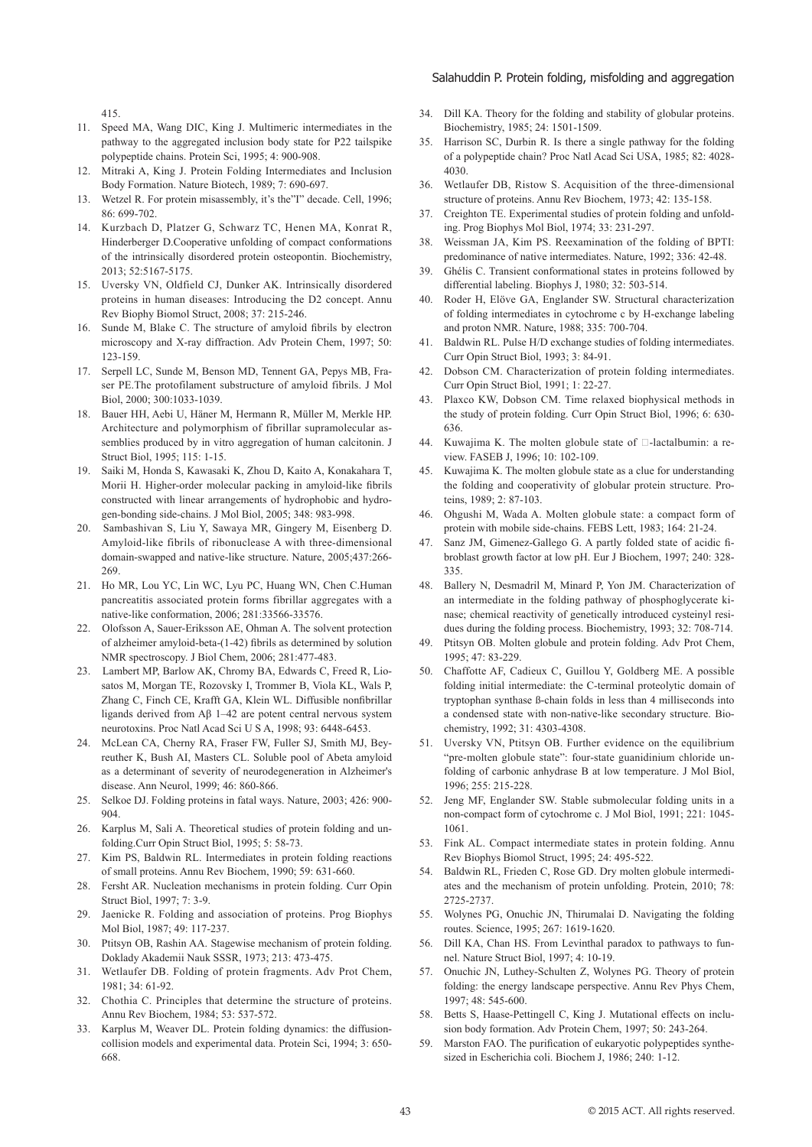415.

- 11. Speed MA, Wang DIC, King J. Multimeric intermediates in the pathway to the aggregated inclusion body state for P22 tailspike polypeptide chains. Protein Sci, 1995; 4: 900-908.
- 12. Mitraki A, King J. Protein Folding Intermediates and Inclusion Body Formation. Nature Biotech, 1989; 7: 690-697.
- 13. Wetzel R. For protein misassembly, it's the"I" decade. Cell, 1996; 86: 699-702.
- 14. Kurzbach D, Platzer G, Schwarz TC, Henen MA, Konrat R, Hinderberger D.Cooperative unfolding of compact conformations of the intrinsically disordered protein osteopontin. Biochemistry, 2013; 52:5167-5175.
- 15. Uversky VN, Oldfield CJ, Dunker AK. Intrinsically disordered proteins in human diseases: Introducing the D2 concept. Annu Rev Biophy Biomol Struct, 2008; 37: 215-246.
- 16. Sunde M, Blake C. The structure of amyloid fibrils by electron microscopy and X-ray diffraction. Adv Protein Chem, 1997; 50: 123-159.
- 17. Serpell LC, Sunde M, Benson MD, Tennent GA, Pepys MB, Fraser PE.The protofilament substructure of amyloid fibrils. J Mol Biol, 2000; 300:1033-1039.
- 18. Bauer HH, Aebi U, Häner M, Hermann R, Müller M, Merkle HP. Architecture and polymorphism of fibrillar supramolecular assemblies produced by in vitro aggregation of human calcitonin. J Struct Biol, 1995; 115: 1-15.
- 19. Saiki M, Honda S, Kawasaki K, Zhou D, Kaito A, Konakahara T, Morii H. Higher-order molecular packing in amyloid-like fibrils constructed with linear arrangements of hydrophobic and hydrogen-bonding side-chains. J Mol Biol, 2005; 348: 983-998.
- 20. Sambashivan S, Liu Y, Sawaya MR, Gingery M, Eisenberg D. Amyloid-like fibrils of ribonuclease A with three-dimensional domain-swapped and native-like structure. Nature, 2005;437:266- 269.
- 21. Ho MR, Lou YC, Lin WC, Lyu PC, Huang WN, Chen C.Human pancreatitis associated protein forms fibrillar aggregates with a native-like conformation, 2006; 281:33566-33576.
- 22. Olofsson A, Sauer-Eriksson AE, Ohman A. The solvent protection of alzheimer amyloid-beta-(1-42) fibrils as determined by solution NMR spectroscopy. J Biol Chem, 2006; 281:477-483.
- 23. Lambert MP, Barlow AK, Chromy BA, Edwards C, Freed R, Liosatos M, Morgan TE, Rozovsky I, Trommer B, Viola KL, Wals P, Zhang C, Finch CE, Krafft GA, Klein WL. Diffusible nonfibrillar ligands derived from Aβ 1–42 are potent central nervous system neurotoxins. Proc Natl Acad Sci U S A, 1998; 93: 6448-6453.
- 24. McLean CA, Cherny RA, Fraser FW, Fuller SJ, Smith MJ, Beyreuther K, Bush AI, Masters CL. Soluble pool of Abeta amyloid as a determinant of severity of neurodegeneration in Alzheimer's disease. Ann Neurol, 1999; 46: 860-866.
- 25. Selkoe DJ. Folding proteins in fatal ways. Nature, 2003; 426: 900- 904.
- 26. Karplus M, Sali A. Theoretical studies of protein folding and unfolding.Curr Opin Struct Biol, 1995; 5: 58-73.
- 27. Kim PS, Baldwin RL. Intermediates in protein folding reactions of small proteins. Annu Rev Biochem, 1990; 59: 631-660.
- 28. Fersht AR. Nucleation mechanisms in protein folding. Curr Opin Struct Biol, 1997; 7: 3-9.
- 29. Jaenicke R. Folding and association of proteins. Prog Biophys Mol Biol, 1987; 49: 117-237.
- 30. Ptitsyn OB, Rashin AA. Stagewise mechanism of protein folding. Doklady Akademii Nauk SSSR, 1973; 213: 473-475.
- 31. Wetlaufer DB. Folding of protein fragments. Adv Prot Chem, 1981; 34: 61-92.
- 32. Chothia C. Principles that determine the structure of proteins. Annu Rev Biochem, 1984; 53: 537-572.
- 33. Karplus M, Weaver DL. Protein folding dynamics: the diffusioncollision models and experimental data. Protein Sci, 1994; 3: 650- 668.
- 34. Dill KA. Theory for the folding and stability of globular proteins. Biochemistry, 1985; 24: 1501-1509.
- 35. Harrison SC, Durbin R. Is there a single pathway for the folding of a polypeptide chain? Proc Natl Acad Sci USA, 1985; 82: 4028- 4030.
- 36. Wetlaufer DB, Ristow S. Acquisition of the three-dimensional structure of proteins. Annu Rev Biochem, 1973; 42: 135-158.
- 37. Creighton TE. Experimental studies of protein folding and unfolding. Prog Biophys Mol Biol, 1974; 33: 231-297.
- 38. Weissman JA, Kim PS. Reexamination of the folding of BPTI: predominance of native intermediates. Nature, 1992; 336: 42-48.
- 39. Ghélis C. Transient conformational states in proteins followed by differential labeling. Biophys J, 1980; 32: 503-514.
- 40. Roder H, Elöve GA, Englander SW. Structural characterization of folding intermediates in cytochrome c by H-exchange labeling and proton NMR. Nature, 1988; 335: 700-704.
- 41. Baldwin RL. Pulse H/D exchange studies of folding intermediates. Curr Opin Struct Biol, 1993; 3: 84-91.
- 42. Dobson CM. Characterization of protein folding intermediates. Curr Opin Struct Biol, 1991; 1: 22-27.
- 43. Plaxco KW, Dobson CM. Time relaxed biophysical methods in the study of protein folding. Curr Opin Struct Biol, 1996; 6: 630- 636.
- 44. Kuwajima K. The molten globule state of  $\Box$ -lactalbumin: a review. FASEB J, 1996; 10: 102-109.
- 45. Kuwajima K. The molten globule state as a clue for understanding the folding and cooperativity of globular protein structure. Proteins, 1989; 2: 87-103.
- 46. Ohgushi M, Wada A. Molten globule state: a compact form of protein with mobile side-chains. FEBS Lett, 1983; 164: 21-24.
- 47. Sanz JM, Gimenez-Gallego G. A partly folded state of acidic fibroblast growth factor at low pH. Eur J Biochem, 1997; 240: 328- 335.
- 48. Ballery N, Desmadril M, Minard P, Yon JM. Characterization of an intermediate in the folding pathway of phosphoglycerate kinase; chemical reactivity of genetically introduced cysteinyl residues during the folding process. Biochemistry, 1993; 32: 708-714.
- 49. Ptitsyn OB. Molten globule and protein folding. Adv Prot Chem, 1995; 47: 83-229.
- 50. Chaffotte AF, Cadieux C, Guillou Y, Goldberg ME. A possible folding initial intermediate: the C-terminal proteolytic domain of tryptophan synthase ß-chain folds in less than 4 milliseconds into a condensed state with non-native-like secondary structure. Biochemistry, 1992; 31: 4303-4308.
- 51. Uversky VN, Ptitsyn OB. Further evidence on the equilibrium "pre-molten globule state": four-state guanidinium chloride unfolding of carbonic anhydrase B at low temperature. J Mol Biol, 1996; 255: 215-228.
- 52. Jeng MF, Englander SW. Stable submolecular folding units in a non-compact form of cytochrome c. J Mol Biol, 1991; 221: 1045- 1061.
- 53. Fink AL. Compact intermediate states in protein folding. Annu Rev Biophys Biomol Struct, 1995; 24: 495-522.
- 54. Baldwin RL, Frieden C, Rose GD. Dry molten globule intermediates and the mechanism of protein unfolding. Protein, 2010; 78: 2725-2737.
- 55. Wolynes PG, Onuchic JN, Thirumalai D. Navigating the folding routes. Science, 1995; 267: 1619-1620.
- 56. Dill KA, Chan HS. From Levinthal paradox to pathways to funnel. Nature Struct Biol, 1997; 4: 10-19.
- 57. Onuchic JN, Luthey-Schulten Z, Wolynes PG. Theory of protein folding: the energy landscape perspective. Annu Rev Phys Chem, 1997; 48: 545-600.
- 58. Betts S, Haase-Pettingell C, King J. Mutational effects on inclusion body formation. Adv Protein Chem, 1997; 50: 243-264.
- 59. Marston FAO. The purification of eukaryotic polypeptides synthesized in Escherichia coli. Biochem J, 1986; 240: 1-12.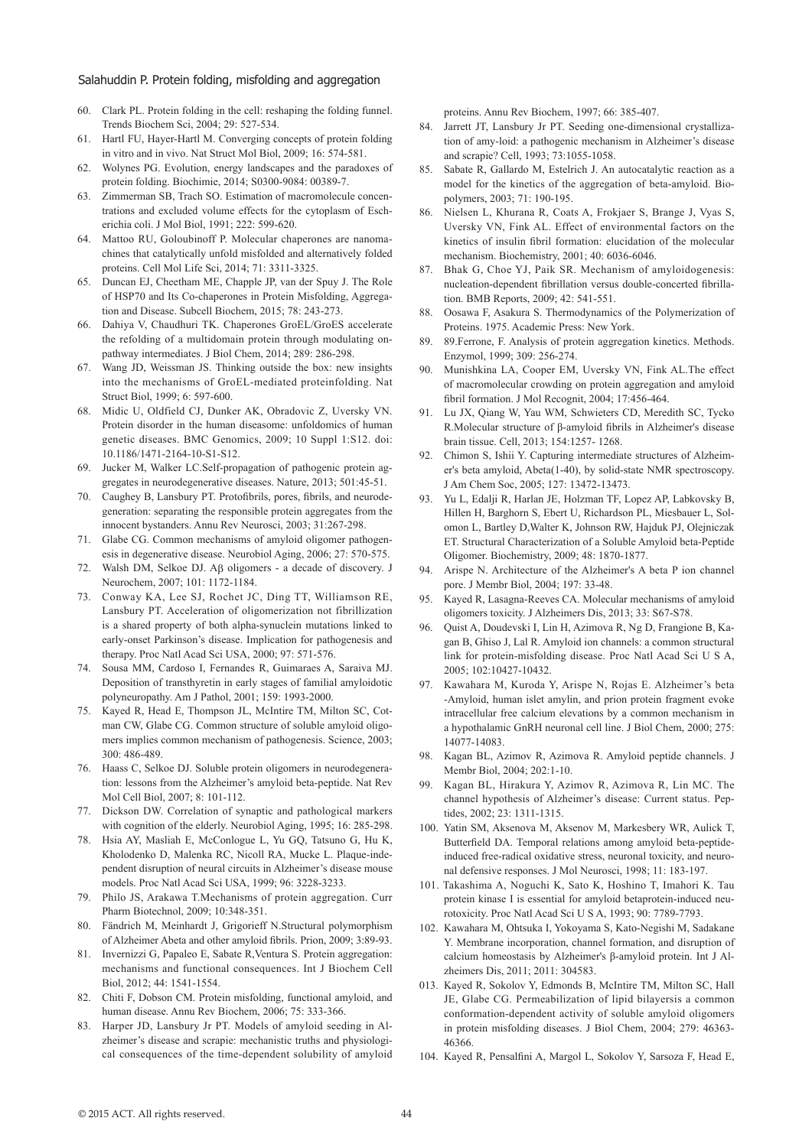- 60. Clark PL. Protein folding in the cell: reshaping the folding funnel. Trends Biochem Sci, 2004; 29: 527-534.
- 61. Hartl FU, Hayer-Hartl M. Converging concepts of protein folding in vitro and in vivo. Nat Struct Mol Biol, 2009; 16: 574-581.
- 62. Wolynes PG. Evolution, energy landscapes and the paradoxes of protein folding. Biochimie, 2014; S0300-9084: 00389-7.
- 63. Zimmerman SB, Trach SO. Estimation of macromolecule concentrations and excluded volume effects for the cytoplasm of Escherichia coli. J Mol Biol, 1991; 222: 599-620.
- 64. Mattoo RU, Goloubinoff P. Molecular chaperones are nanomachines that catalytically unfold misfolded and alternatively folded proteins. Cell Mol Life Sci, 2014; 71: 3311-3325.
- 65. Duncan EJ, Cheetham ME, Chapple JP, van der Spuy J. The Role of HSP70 and Its Co-chaperones in Protein Misfolding, Aggregation and Disease. Subcell Biochem, 2015; 78: 243-273.
- 66. Dahiya V, Chaudhuri TK. Chaperones GroEL/GroES accelerate the refolding of a multidomain protein through modulating onpathway intermediates. J Biol Chem, 2014; 289: 286-298.
- 67. Wang JD, Weissman JS. Thinking outside the box: new insights into the mechanisms of GroEL-mediated proteinfolding. Nat Struct Biol, 1999; 6: 597-600.
- 68. Midic U, Oldfield CJ, Dunker AK, Obradovic Z, Uversky VN. Protein disorder in the human diseasome: unfoldomics of human genetic diseases. BMC Genomics, 2009; 10 Suppl 1:S12. doi: 10.1186/1471-2164-10-S1-S12.
- 69. Jucker M, Walker LC.Self-propagation of pathogenic protein aggregates in neurodegenerative diseases. Nature, 2013; 501:45-51.
- 70. Caughey B, Lansbury PT. Protofibrils, pores, fibrils, and neurodegeneration: separating the responsible protein aggregates from the innocent bystanders. Annu Rev Neurosci, 2003; 31:267-298.
- 71. Glabe CG. Common mechanisms of amyloid oligomer pathogenesis in degenerative disease. Neurobiol Aging, 2006; 27: 570-575.
- 72. Walsh DM, Selkoe DJ. Aβ oligomers a decade of discovery. J Neurochem, 2007; 101: 1172-1184.
- 73. Conway KA, Lee SJ, Rochet JC, Ding TT, Williamson RE, Lansbury PT. Acceleration of oligomerization not fibrillization is a shared property of both alpha-synuclein mutations linked to early-onset Parkinson's disease. Implication for pathogenesis and therapy. Proc Natl Acad Sci USA, 2000; 97: 571-576.
- 74. Sousa MM, Cardoso I, Fernandes R, Guimaraes A, Saraiva MJ. Deposition of transthyretin in early stages of familial amyloidotic polyneuropathy. Am J Pathol, 2001; 159: 1993-2000.
- 75. Kayed R, Head E, Thompson JL, McIntire TM, Milton SC, Cotman CW, Glabe CG. Common structure of soluble amyloid oligomers implies common mechanism of pathogenesis. Science, 2003; 300: 486-489.
- 76. Haass C, Selkoe DJ. Soluble protein oligomers in neurodegeneration: lessons from the Alzheimer's amyloid beta-peptide. Nat Rev Mol Cell Biol, 2007; 8: 101-112.
- 77. Dickson DW. Correlation of synaptic and pathological markers with cognition of the elderly. Neurobiol Aging, 1995; 16: 285-298.
- 78. Hsia AY, Masliah E, McConlogue L, Yu GQ, Tatsuno G, Hu K, Kholodenko D, Malenka RC, Nicoll RA, Mucke L. Plaque-independent disruption of neural circuits in Alzheimer's disease mouse models. Proc Natl Acad Sci USA, 1999; 96: 3228-3233.
- 79. Philo JS, Arakawa T.Mechanisms of protein aggregation. Curr Pharm Biotechnol, 2009; 10:348-351.
- 80. Fändrich M, Meinhardt J, Grigorieff N.Structural polymorphism of Alzheimer Abeta and other amyloid fibrils. Prion, 2009; 3:89-93.
- 81. Invernizzi G, Papaleo E, Sabate R,Ventura S. Protein aggregation: mechanisms and functional consequences. Int J Biochem Cell Biol, 2012; 44: 1541-1554.
- 82. Chiti F, Dobson CM. Protein misfolding, functional amyloid, and human disease. Annu Rev Biochem, 2006; 75: 333-366.
- 83. Harper JD, Lansbury Jr PT. Models of amyloid seeding in Alzheimer's disease and scrapie: mechanistic truths and physiological consequences of the time-dependent solubility of amyloid

proteins. Annu Rev Biochem, 1997; 66: 385-407.

- 84. Jarrett JT, Lansbury Jr PT. Seeding one-dimensional crystallization of amy-loid: a pathogenic mechanism in Alzheimer's disease and scrapie? Cell, 1993; 73:1055-1058.
- 85. Sabate R, Gallardo M, Estelrich J. An autocatalytic reaction as a model for the kinetics of the aggregation of beta-amyloid. Biopolymers, 2003; 71: 190-195.
- 86. Nielsen L, Khurana R, Coats A, Frokjaer S, Brange J, Vyas S, Uversky VN, Fink AL. Effect of environmental factors on the kinetics of insulin fibril formation: elucidation of the molecular mechanism. Biochemistry, 2001; 40: 6036-6046.
- 87. Bhak G, Choe YJ, Paik SR. Mechanism of amyloidogenesis: nucleation-dependent fibrillation versus double-concerted fibrillation. BMB Reports, 2009; 42: 541-551.
- 88. Oosawa F, Asakura S. Thermodynamics of the Polymerization of Proteins. 1975. Academic Press: New York.
- 89. 89.Ferrone, F. Analysis of protein aggregation kinetics. Methods. Enzymol, 1999; 309: 256-274.
- 90. Munishkina LA, Cooper EM, Uversky VN, Fink AL.The effect of macromolecular crowding on protein aggregation and amyloid fibril formation. J Mol Recognit, 2004; 17:456-464.
- 91. Lu JX, Qiang W, Yau WM, Schwieters CD, Meredith SC, Tycko R.Molecular structure of β-amyloid fibrils in Alzheimer's disease brain tissue. Cell, 2013; 154:1257- 1268.
- 92. Chimon S, Ishii Y. Capturing intermediate structures of Alzheimer's beta amyloid, Abeta(1-40), by solid-state NMR spectroscopy. J Am Chem Soc, 2005; 127: 13472-13473.
- 93. Yu L, Edalji R, Harlan JE, Holzman TF, Lopez AP, Labkovsky B, Hillen H, Barghorn S, Ebert U, Richardson PL, Miesbauer L, Solomon L, Bartley D,Walter K, Johnson RW, Hajduk PJ, Olejniczak ET. Structural Characterization of a Soluble Amyloid beta-Peptide Oligomer. Biochemistry, 2009; 48: 1870-1877.
- 94. Arispe N. Architecture of the Alzheimer's A beta P ion channel pore. J Membr Biol, 2004; 197: 33-48.
- 95. Kayed R, Lasagna-Reeves CA. Molecular mechanisms of amyloid oligomers toxicity. J Alzheimers Dis, 2013; 33: S67-S78.
- 96. Quist A, Doudevski I, Lin H, Azimova R, Ng D, Frangione B, Kagan B, Ghiso J, Lal R. Amyloid ion channels: a common structural link for protein-misfolding disease. Proc Natl Acad Sci U S A, 2005; 102:10427-10432.
- 97. Kawahara M, Kuroda Y, Arispe N, Rojas E. Alzheimer's beta -Amyloid, human islet amylin, and prion protein fragment evoke intracellular free calcium elevations by a common mechanism in a hypothalamic GnRH neuronal cell line. J Biol Chem, 2000; 275: 14077-14083.
- 98. Kagan BL, Azimov R, Azimova R. Amyloid peptide channels. J Membr Biol, 2004; 202:1-10.
- 99. Kagan BL, Hirakura Y, Azimov R, Azimova R, Lin MC. The channel hypothesis of Alzheimer's disease: Current status. Peptides, 2002; 23: 1311-1315.
- 100. Yatin SM, Aksenova M, Aksenov M, Markesbery WR, Aulick T, Butterfield DA. Temporal relations among amyloid beta-peptideinduced free-radical oxidative stress, neuronal toxicity, and neuronal defensive responses. J Mol Neurosci, 1998; 11: 183-197.
- 101. Takashima A, Noguchi K, Sato K, Hoshino T, Imahori K. Tau protein kinase I is essential for amyloid betaprotein-induced neurotoxicity. Proc Natl Acad Sci U S A, 1993; 90: 7789-7793.
- 102. Kawahara M, Ohtsuka I, Yokoyama S, Kato-Negishi M, Sadakane Y. Membrane incorporation, channel formation, and disruption of calcium homeostasis by Alzheimer's β-amyloid protein. Int J Alzheimers Dis, 2011; 2011: 304583.
- 013. Kayed R, Sokolov Y, Edmonds B, McIntire TM, Milton SC, Hall JE, Glabe CG. Permeabilization of lipid bilayersis a common conformation-dependent activity of soluble amyloid oligomers in protein misfolding diseases. J Biol Chem, 2004; 279: 46363- 46366.
- 104. Kayed R, Pensalfini A, Margol L, Sokolov Y, Sarsoza F, Head E,